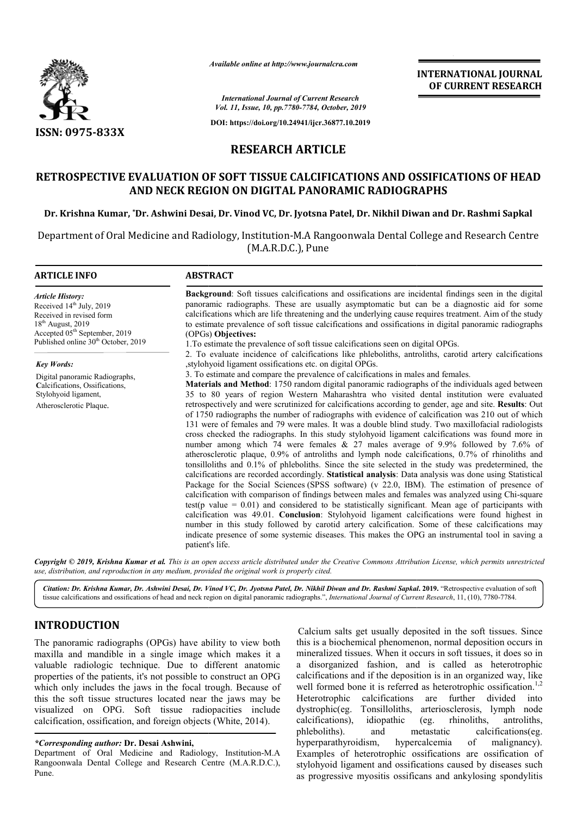

**ARTICLE INFO ABSTRACT**

*Available online at http://www.journalcra.com*

**INTERNATIONAL JOURNAL OF CURRENT RESEARCH**

*International Journal of Current Research Vol. 11, Issue, 10, pp.7780-7784, October, 2019*

**DOI: https://doi.org/10.24941/ijcr.36877.10.2019**

# **RESEARCH ARTICLE**

# **RETROSPECTIVE EVALUATION OF SOFT TISSUE CALCIFICATIONS AND OSSIFICATIONS OF HEAD AND NECK REGION ON DIGITAL PANORAMIC RADIOGRAPHS**

**Dr. Krishna Kumar, \*Dr. Ashwini Desai, Dr. Vinod VC, Dr. Jyotsna Patel, Dr. Nikhil Diwan and Dr. Nikhil Diwan Rashmi Sapkal**

Department of Oral Medicine and Radiology, Institution-M.A Rangoonwala Dental College and Research Centre (M.A.R.D.C.), Pune

#### **Background** : Soft tissues calcifications and ossifications are incidental findings seen in the digital panoramic radiographs. These are usually asymptomatic but can be a diagnostic aid for some **Background:** Soft tissues calcifications and ossifications are incidental findings seen in the digital panoramic radiographs. These are usually asymptomatic but can be a diagnostic aid for some calcifications which are li to estimate prevalence of soft tissue calcifications and ossifications in digital panoramic radiographs to estimate calcifications radiographs(OPGs) **Objectives:** 1.To estimate the prevalence of soft tissue calcifications seen on digital OPGs. 2. To evaluate incidence of calcifications like phleboliths, antroliths, carotid artery calcifications ,stylohyoid ligament ossifications etc. on digital OPGs. 3. To estimate and compare the prevalence of calcifications in males and females. **Materials and Method**: 1750 random digital panoramic radiographs of the individuals aged between 35 to 80 years of region Western Maharashtra who visited dental institution were evaluated retrospectively and were scrutinized for calcifications according to gender, age and site. Results: Out of 1750 radiographs the number of radiographs with evidence of calcification was 210 out of which 131 were of females and 79 were males. It was a double blind study. Two maxillofacial radiologists cross checked the radiographs. In this study stylohyoid ligament calcifications was found more in 131 were of females and 79 were males. It was a double blind study. Two maxillofacial radiologists cross checked the radiographs. In this study stylohyoid ligament calcifications was found more in number among which 74 wer atherosclerotic plaque, 0.9% of antroliths and lymph node calcifications, 0.7% of rhinoliths and tonsilloliths and 0.1% of phleboliths. Since the site selected in the study was predetermined, the atherosclerotic plaque, 0.9% of antroliths and lymph node calcifications, 0.7% of rhinoliths and 0.1% of phleboliths. Since the site selected in the study was predetermined, the calcifications are recorded accordingly. **St** Package for the Social Sciences (SPSS software) (v 22.0, IBM). The estimation of presence of calcification with comparison of findings between males and females was analyzed using Chi-square test(p value  $= 0.01$ ) and considered to be statistically significant. Mean age of participants with *Article History:* Received 14<sup>th</sup> July, 2019 Received in revised form  $18^{th}$  August, 2019 Accepted 05<sup>th</sup> September, 2019 Published online 30<sup>th</sup> October, 2019 *Key Words:* Digital panoramic Radiographs, **C**alcifications, Ossifications, Stylohyoid ligament, Atherosclerotic Plaque. **Materials and Method**: 1750 random digital panoramic radiographs of the individuals aged between 35 to 80 years of region Western Maharashtra who visited dental institution were evaluated retrospectively and were scrutini

Copyright © 2019, Krishna Kumar et al. This is an open access article distributed under the Creative Commons Attribution License, which permits unrestrictea *use, distribution, and reproduction in any medium, provided the original work is properly cited.*

calcification was 49.01. **Conclusion**: Stylohyoid ligament calcifications were found highest in number in this study followed by carotid artery calcification. Some of these calcifications may calcification was 49.01. **Conclusion**: Stylohyoid ligament calcifications were found highest in number in this study followed by carotid artery calcification. Some of these calcifications may indicate presence of some syst

Citation: Dr. Krishna Kumar, Dr. Ashwini Desai, Dr. Vinod VC, Dr. Jyotsna Patel, Dr. Nikhil Diwan and Dr. Rashmi Sapkal. 2019. "Retrospective evaluation of soft tissue calcifications and ossifications of head and neck region on digital panoramic radiographs.", *International Journal of Current Research*, 11, (10), 7780-7784.

## **INTRODUCTION**

The panoramic radiographs (OPGs) have ability to view both maxilla and mandible in a single image which makes it a valuable radiologic technique. Due to different anatomic properties of the patients, it's not possible to construct an OPG which only includes the jaws in the focal trough. Because of this the soft tissue structures located near the jaws may be visualized on OPG. Soft tissue radiopacities include calcification, ossification, and foreign objects (White, 2014).

patient's life.

#### *\*Corresponding author:* **Dr. Desai Ashwini,**

Department of Oral Medicine and Radiology, Institution-M.A Rangoonwala Dental College and Research Centre (M.A.R.D.C.), Pune.

Calcium salts get usually deposited in the soft tissues. Since this is a biochemical phenomenon, normal deposition occurs in this is a biochemical phenomenon, normal deposition occurs in mineralized tissues. When it occurs in soft tissues, it does so in a disorganized fashion, and is called as heterotrophic calcifications and if the deposition is in an organized way, like well formed bone it is referred as heterotrophic ossification.<sup>1,2</sup> Heterotrophic dystrophic(eg. Tonsilloliths, arteriosclerosis, lymph node calcifications), idiopathic phleboliths). and metastatic calcifications(eg. hyperparathyroidism, hypercalcemia of malignancy). Examples of heterotrophic ossifications are ossification of stylohyoid ligament and ossifications caused by diseases such as progressive myositis ossificans and ankylosing spondylitis calcifications are further divided into (eg. rhinoliths, antroliths, hypercalcemia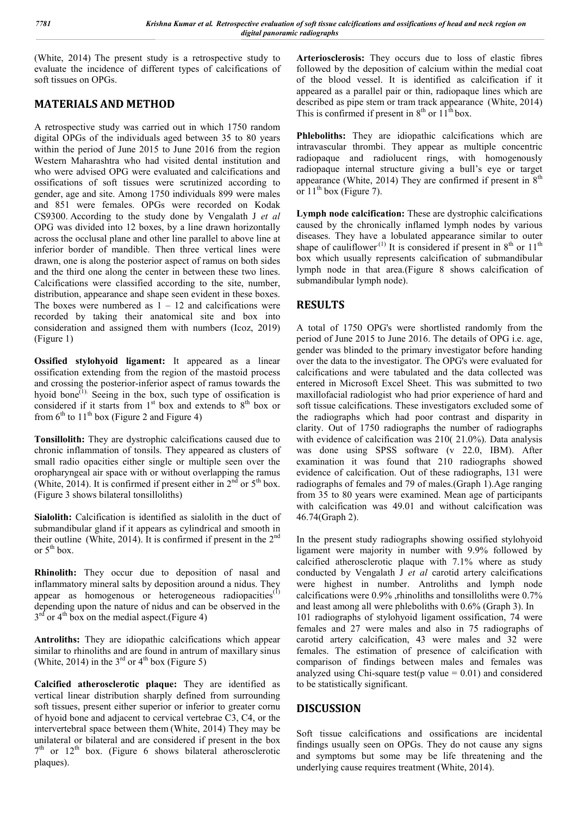(White, 2014) The present study is a retrospective study to evaluate the incidence of different types of calcifications of soft tissues on OPGs.

## **MATERIALS AND METHOD**

A retrospective study was carried out in which 1750 random digital OPGs of the individuals aged between 35 to 80 years within the period of June 2015 to June 2016 from the region Western Maharashtra who had visited dental institution and who were advised OPG were evaluated and calcifications and ossifications of soft tissues were scrutinized according to gender, age and site. Among 1750 individuals 899 were males and 851 were females. OPGs were recorded on Kodak CS9300. According to the study done by Vengalath J *et al* OPG was divided into 12 boxes, by a line drawn horizontally across the occlusal plane and other line parallel to above line at inferior border of mandible. Then three vertical lines were drawn, one is along the posterior aspect of ramus on both sides and the third one along the center in between these two lines. Calcifications were classified according to the site, number, distribution, appearance and shape seen evident in these boxes. The boxes were numbered as  $1 - 12$  and calcifications were recorded by taking their anatomical site and box into consideration and assigned them with numbers (Icoz, 2019) (Figure 1)

**Ossified stylohyoid ligament:** It appeared as a linear ossification extending from the region of the mastoid process and crossing the posterior-inferior aspect of ramus towards the hyoid bone $^{(1)}$ . Seeing in the box, such type of ossification is considered if it starts from  $1<sup>st</sup>$  box and extends to  $8<sup>th</sup>$  box or from  $6<sup>th</sup>$  to  $11<sup>th</sup>$  box (Figure 2 and Figure 4)

**Tonsillolith:** They are dystrophic calcifications caused due to chronic inflammation of tonsils. They appeared as clusters of small radio opacities either single or multiple seen over the oropharyngeal air space with or without overlapping the ramus (White, 2014). It is confirmed if present either in  $2<sup>nd</sup>$  or  $5<sup>th</sup>$  box. (Figure 3 shows bilateral tonsilloliths)

Sialolith: Calcification is identified as sialolith in the duct of submandibular gland if it appears as cylindrical and smooth in their outline (White, 2014). It is confirmed if present in the  $2<sup>nd</sup>$ or  $5<sup>th</sup>$  box.

**Rhinolith:** They occur due to deposition of nasal and inflammatory mineral salts by deposition around a nidus. They appear as homogenous or heterogeneous radiopacities<sup>(1)</sup> depending upon the nature of nidus and can be observed in the  $3<sup>rd</sup>$  or  $4<sup>th</sup>$  box on the medial aspect.(Figure 4)

**Antroliths:** They are idiopathic calcifications which appear similar to rhinoliths and are found in antrum of maxillary sinus (White, 2014) in the  $3^{rd}$  or  $4^{th}$  box (Figure 5)

**Calcified atherosclerotic plaque:** They are identified as vertical linear distribution sharply defined from surrounding soft tissues, present either superior or inferior to greater cornu of hyoid bone and adjacent to cervical vertebrae C3, C4, or the intervertebral space between them (White, 2014) They may be unilateral or bilateral and are considered if present in the box  $7<sup>th</sup>$  or  $12<sup>th</sup>$  box. (Figure 6 shows bilateral atherosclerotic plaques).

**Arteriosclerosis:** They occurs due to loss of elastic fibres followed by the deposition of calcium within the medial coat of the blood vessel. It is identified as calcification if it appeared as a parallel pair or thin, radiopaque lines which are described as pipe stem or tram track appearance (White, 2014) This is confirmed if present in  $8<sup>th</sup>$  or  $11<sup>th</sup>$  box.

**Phleboliths:** They are idiopathic calcifications which are intravascular thrombi. They appear as multiple concentric radiopaque and radiolucent rings, with homogenously radiopaque internal structure giving a bull's eye or target appearance (White, 2014) They are confirmed if present in  $8<sup>th</sup>$ or  $11<sup>th</sup>$  box (Figure 7).

**Lymph node calcification:** These are dystrophic calcifications caused by the chronically inflamed lymph nodes by various diseases. They have a lobulated appearance similar to outer shape of cauliflower<sup>(1)</sup> It is considered if present in  $8<sup>th</sup>$  or  $11<sup>th</sup>$ box which usually represents calcification of submandibular lymph node in that area.(Figure 8 shows calcification of submandibular lymph node).

## **RESULTS**

A total of 1750 OPG's were shortlisted randomly from the period of June 2015 to June 2016. The details of OPG i.e. age, gender was blinded to the primary investigator before handing over the data to the investigator. The OPG's were evaluated for calcifications and were tabulated and the data collected was entered in Microsoft Excel Sheet. This was submitted to two maxillofacial radiologist who had prior experience of hard and soft tissue calcifications. These investigators excluded some of the radiographs which had poor contrast and disparity in clarity. Out of 1750 radiographs the number of radiographs with evidence of calcification was 210( 21.0%). Data analysis was done using SPSS software (v 22.0, IBM). After examination it was found that 210 radiographs showed evidence of calcification. Out of these radiographs, 131 were radiographs of females and 79 of males.(Graph 1).Age ranging from 35 to 80 years were examined. Mean age of participants with calcification was 49.01 and without calcification was 46.74(Graph 2).

In the present study radiographs showing ossified stylohyoid ligament were majority in number with 9.9% followed by calcified atherosclerotic plaque with 7.1% where as study conducted by Vengalath J *et al* carotid artery calcifications were highest in number. Antroliths and lymph node calcifications were 0.9% ,rhinoliths and tonsilloliths were 0.7% and least among all were phleboliths with 0.6% (Graph 3). In 101 radiographs of stylohyoid ligament ossification, 74 were females and 27 were males and also in 75 radiographs of carotid artery calcification, 43 were males and 32 were females. The estimation of presence of calcification with comparison of findings between males and females was analyzed using Chi-square test(p value  $= 0.01$ ) and considered to be statistically significant.

## **DISCUSSION**

Soft tissue calcifications and ossifications are incidental findings usually seen on OPGs. They do not cause any signs and symptoms but some may be life threatening and the underlying cause requires treatment (White, 2014).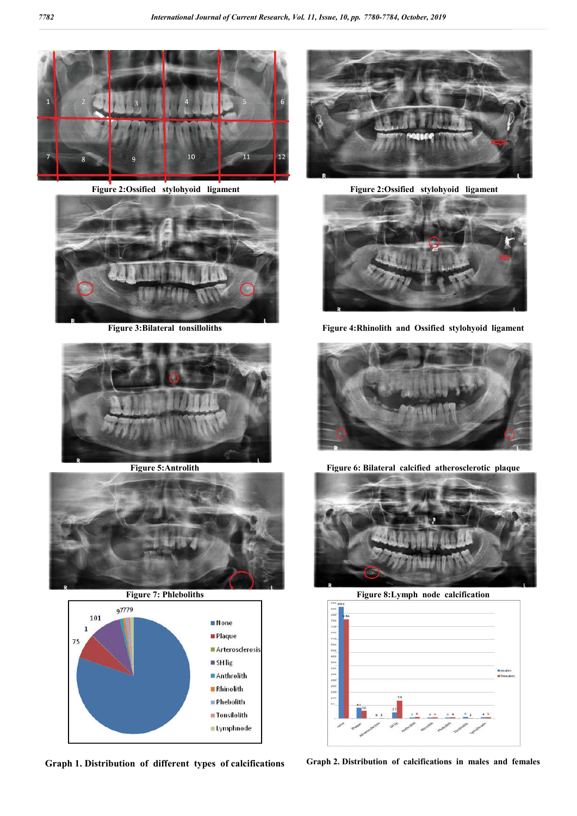

**Figure 2:Ossified stylohyoid ligament Figure 2:Ossified stylohyoid ligament**









**Graph 1. Distribution of different types of calcifications Graph 2. Distribution of calcifications in males and females**





**Figure 3:Bilateral tonsilloliths Figure 4:Rhinolith and Ossified stylohyoid ligament**



**Figure 5:Antrolith Figure 6: Bilateral calcified atherosclerotic plaque**



**Figure 7: Phleboliths Figure 8:Lymph node calcification** 

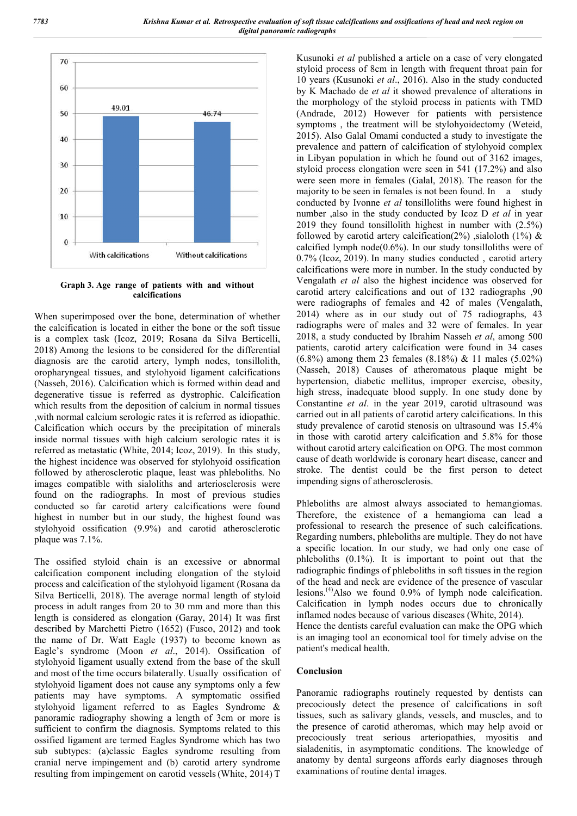

**Graph 3. Age range of patients with and without calcifications**

When superimposed over the bone, determination of whether the calcification is located in either the bone or the soft tissue is a complex task (Icoz, 2019; Rosana da Silva Berticelli, 2018) Among the lesions to be considered for the differential diagnosis are the carotid artery, lymph nodes, tonsillolith, oropharyngeal tissues, and stylohyoid ligament calcifications (Nasseh, 2016). Calcification which is formed within dead and degenerative tissue is referred as dystrophic. Calcification which results from the deposition of calcium in normal tissues ,with normal calcium serologic rates it is referred as idiopathic. Calcification which occurs by the precipitation of minerals inside normal tissues with high calcium serologic rates it is referred as metastatic (White, 2014; Icoz, 2019). In this study, the highest incidence was observed for stylohyoid ossification followed by atherosclerotic plaque, least was phleboliths. No images compatible with sialoliths and arteriosclerosis were found on the radiographs. In most of previous studies conducted so far carotid artery calcifications were found highest in number but in our study, the highest found was stylohyoid ossification (9.9%) and carotid atherosclerotic plaque was 7.1%.

The ossified styloid chain is an excessive or abnormal calcification component including elongation of the styloid process and calcification of the stylohyoid ligament (Rosana da Silva Berticelli, 2018). The average normal length of styloid process in adult ranges from 20 to 30 mm and more than this length is considered as elongation (Garay, 2014) It was first described by Marchetti Pietro (1652) (Fusco, 2012) and took the name of Dr. Watt Eagle (1937) to become known as Eagle's syndrome (Moon *et al*., 2014). Ossification of stylohyoid ligament usually extend from the base of the skull and most of the time occurs bilaterally. Usually ossification of stylohyoid ligament does not cause any symptoms only a few patients may have symptoms. A symptomatic ossified stylohyoid ligament referred to as Eagles Syndrome & panoramic radiography showing a length of 3cm or more is sufficient to confirm the diagnosis. Symptoms related to this ossified ligament are termed Eagles Syndrome which has two sub subtypes: (a)classic Eagles syndrome resulting from cranial nerve impingement and (b) carotid artery syndrome resulting from impingement on carotid vessels(White, 2014) T

Kusunoki *et al* published a article on a case of very elongated styloid process of 8cm in length with frequent throat pain for 10 years (Kusunoki *et al*., 2016). Also in the study conducted by K Machado de *et al* it showed prevalence of alterations in the morphology of the styloid process in patients with TMD (Andrade, 2012) However for patients with persistence symptoms , the treatment will be stylohyoidectomy (Weteid, 2015). Also Galal Omami conducted a study to investigate the prevalence and pattern of calcification of stylohyoid complex in Libyan population in which he found out of 3162 images, styloid process elongation were seen in 541 (17.2%) and also were seen more in females (Galal, 2018). The reason for the majority to be seen in females is not been found. In a study conducted by Ivonne *et al* tonsilloliths were found highest in number ,also in the study conducted by Icoz D *et al* in year 2019 they found tonsillolith highest in number with (2.5%) followed by carotid artery calcification(2%) ,sialoloth (1%)  $\&$ calcified lymph node( $0.6\%$ ). In our study tonsilloliths were of 0.7% (Icoz, 2019). In many studies conducted , carotid artery calcifications were more in number. In the study conducted by Vengalath *et al* also the highest incidence was observed for carotid artery calcifications and out of 132 radiographs ,90 were radiographs of females and 42 of males (Vengalath, 2014) where as in our study out of 75 radiographs, 43 radiographs were of males and 32 were of females. In year 2018, a study conducted by Ibrahim Nasseh *et al*, among 500 patients, carotid artery calcification were found in 34 cases (6.8%) among them 23 females (8.18%) & 11 males (5.02%) (Nasseh, 2018) Causes of atheromatous plaque might be hypertension, diabetic mellitus, improper exercise, obesity, high stress, inadequate blood supply. In one study done by Constantine *et al*. in the year 2019, carotid ultrasound was carried out in all patients of carotid artery calcifications. In this study prevalence of carotid stenosis on ultrasound was 15.4% in those with carotid artery calcification and 5.8% for those without carotid artery calcification on OPG. The most common cause of death worldwide is coronary heart disease, cancer and stroke. The dentist could be the first person to detect impending signs of atherosclerosis.

Phleboliths are almost always associated to hemangiomas. Therefore, the existence of a hemangioma can lead a professional to research the presence of such calcifications. Regarding numbers, phleboliths are multiple. They do not have a specific location. In our study, we had only one case of phleboliths (0.1%). It is important to point out that the radiographic findings of phleboliths in soft tissues in the region of the head and neck are evidence of the presence of vascular lesions.(4) Also we found 0.9% of lymph node calcification. Calcification in lymph nodes occurs due to chronically inflamed nodes because of various diseases (White, 2014).

Hence the dentists careful evaluation can make the OPG which is an imaging tool an economical tool for timely advise on the patient's medical health.

#### **Conclusion**

Panoramic radiographs routinely requested by dentists can precociously detect the presence of calcifications in soft tissues, such as salivary glands, vessels, and muscles, and to the presence of carotid atheromas, which may help avoid or precociously treat serious arteriopathies, myositis and sialadenitis, in asymptomatic conditions. The knowledge of anatomy by dental surgeons affords early diagnoses through examinations of routine dental images.